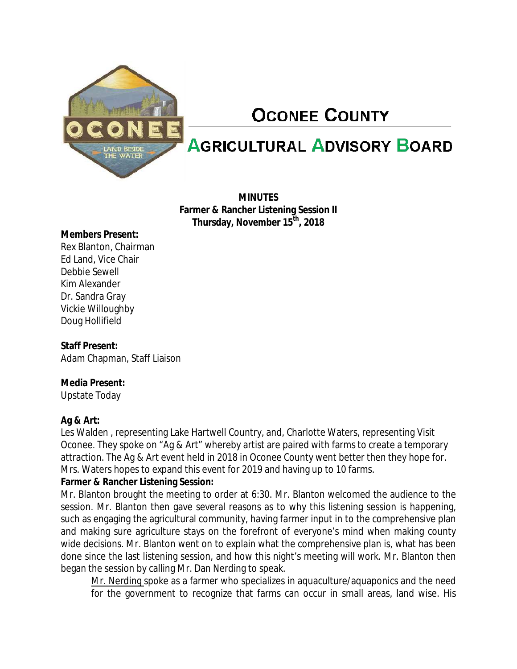

# **OCONEE COUNTY**

## **AGRICULTURAL ADVISORY BOARD**

**MINUTES Farmer & Rancher Listening Session II Thursday, November 15th, 2018**

#### **Members Present:**

Rex Blanton, Chairman Ed Land, Vice Chair Debbie Sewell Kim Alexander Dr. Sandra Gray Vickie Willoughby Doug Hollifield

### **Staff Present:**

Adam Chapman, Staff Liaison

### **Media Present:**

Upstate Today

### **Ag & Art:**

Les Walden , representing Lake Hartwell Country, and, Charlotte Waters, representing Visit Oconee. They spoke on "Ag & Art" whereby artist are paired with farms to create a temporary attraction. The Ag & Art event held in 2018 in Oconee County went better then they hope for. Mrs. Waters hopes to expand this event for 2019 and having up to 10 farms.

### **Farmer & Rancher Listening Session:**

Mr. Blanton brought the meeting to order at 6:30. Mr. Blanton welcomed the audience to the session. Mr. Blanton then gave several reasons as to why this listening session is happening, such as engaging the agricultural community, having farmer input in to the comprehensive plan and making sure agriculture stays on the forefront of everyone's mind when making county wide decisions. Mr. Blanton went on to explain what the comprehensive plan is, what has been done since the last listening session, and how this night's meeting will work. Mr. Blanton then began the session by calling Mr. Dan Nerding to speak.

Mr. Nerding spoke as a farmer who specializes in aquaculture/aquaponics and the need for the government to recognize that farms can occur in small areas, land wise. His